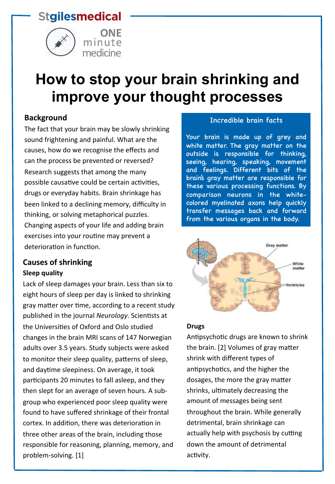# **Stgilesmedical**





# **How to stop your brain shrinking and improve your thought processes**

## **Background**

The fact that your brain may be slowly shrinking sound frightening and painful. What are the causes, how do we recognise the effects and can the process be prevented or reversed? Research suggests that among the many possible causative could be certain activities, drugs or everyday habits. Brain shrinkage has been linked to a declining memory, difficulty in thinking, or solving metaphorical puzzles. Changing aspects of your life and adding brain exercises into your routine may prevent a deterioration in function.

## **Causes of shrinking Sleep quality**

Lack of sleep damages your brain. Less than six to eight hours of sleep per day is linked to shrinking gray matter over time, according to a recent study published in the journal *Neurology*. Scientists at the Universities of Oxford and Oslo studied changes in the brain MRI scans of 147 Norwegian adults over 3.5 years. Study subjects were asked to monitor their sleep quality, patterns of sleep, and daytime sleepiness. On average, it took participants 20 minutes to fall asleep, and they then slept for an average of seven hours. A subgroup who experienced poor sleep quality were found to have suffered shrinkage of their frontal cortex. In addition, there was deterioration in three other areas of the brain, including those responsible for reasoning, planning, memory, and problem-solving. [1]

#### Incredible brain facts

Your brain is made up of grey and white matter. The gray matter on the outside is responsible for thinking, seeing, hearing, speaking, movement and feelings. Different bits of the brain's gray matter are responsible for these various processing functions. By comparison neurons in the whitecolored myelinated axons help quickly transfer messages back and forward from the various organs in the body.



#### **Drugs**

Antipsychotic drugs are known to shrink the brain. [2] Volumes of gray matter shrink with different types of antipsychotics, and the higher the dosages, the more the gray matter shrinks, ultimately decreasing the amount of messages being sent throughout the brain. While generally detrimental, brain shrinkage can actually help with psychosis by cutting down the amount of detrimental activity.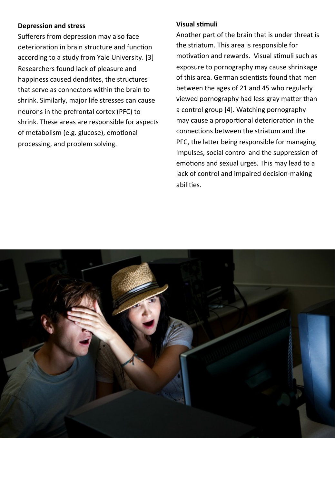#### **Depression and stress**

Sufferers from depression may also face deterioration in brain structure and function according to a study from Yale University. [3] Researchers found lack of pleasure and happiness caused dendrites, the structures that serve as connectors within the brain to shrink. Similarly, major life stresses can cause neurons in the prefrontal cortex (PFC) to shrink. These areas are responsible for aspects of metabolism (e.g. glucose), emotional processing, and problem solving.

### **Visual s:muli**

Another part of the brain that is under threat is the striatum. This area is responsible for motivation and rewards. Visual stimuli such as exposure to pornography may cause shrinkage of this area. German scientists found that men between the ages of 21 and 45 who regularly viewed pornography had less gray matter than a control group [4]. Watching pornography may cause a proportional deterioration in the connections between the striatum and the PFC, the latter being responsible for managing impulses, social control and the suppression of emotions and sexual urges. This may lead to a lack of control and impaired decision-making abilities.